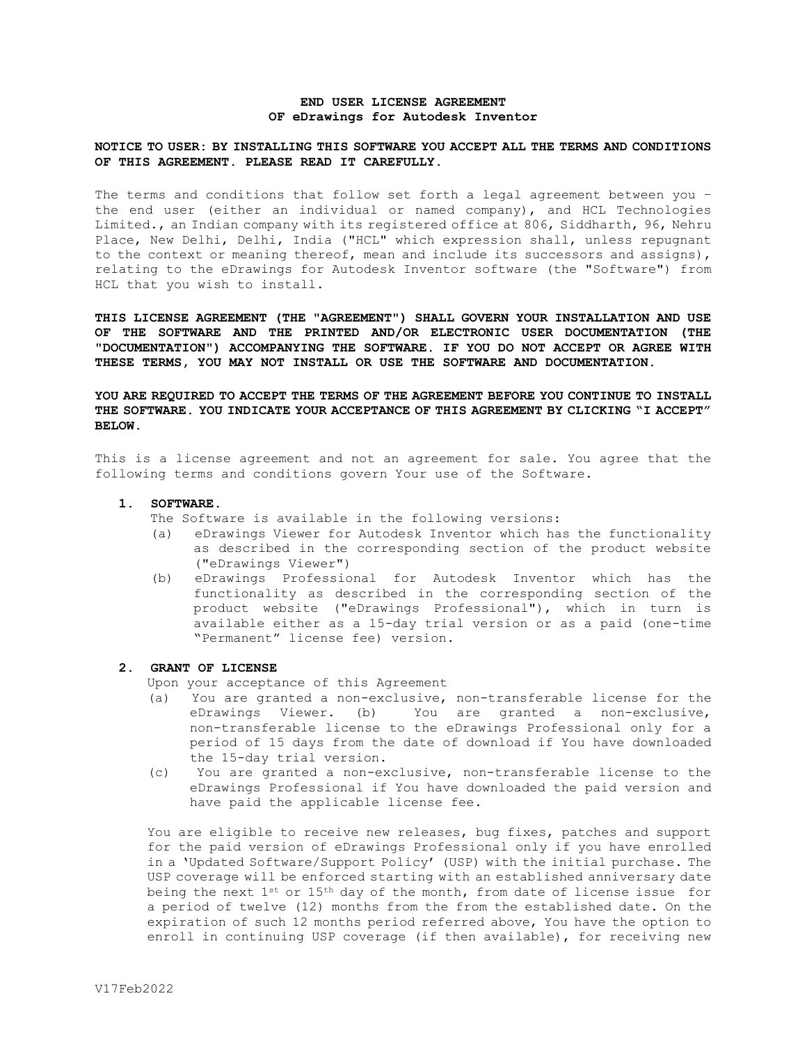## **END USER LICENSE AGREEMENT OF eDrawings for Autodesk Inventor**

# **NOTICE TO USER: BY INSTALLING THIS SOFTWARE YOU ACCEPT ALL THE TERMS AND CONDITIONS OF THIS AGREEMENT. PLEASE READ IT CAREFULLY.**

The terms and conditions that follow set forth a legal agreement between you – the end user (either an individual or named company), and HCL Technologies Limited., an Indian company with its registered office at 806, Siddharth, 96, Nehru Place, New Delhi, Delhi, India ("HCL" which expression shall, unless repugnant to the context or meaning thereof, mean and include its successors and assigns), relating to the eDrawings for Autodesk Inventor software (the "Software") from HCL that you wish to install.

**THIS LICENSE AGREEMENT (THE "AGREEMENT") SHALL GOVERN YOUR INSTALLATION AND USE OF THE SOFTWARE AND THE PRINTED AND/OR ELECTRONIC USER DOCUMENTATION (THE "DOCUMENTATION") ACCOMPANYING THE SOFTWARE. IF YOU DO NOT ACCEPT OR AGREE WITH THESE TERMS, YOU MAY NOT INSTALL OR USE THE SOFTWARE AND DOCUMENTATION.** 

**YOU ARE REQUIRED TO ACCEPT THE TERMS OF THE AGREEMENT BEFORE YOU CONTINUE TO INSTALL THE SOFTWARE. YOU INDICATE YOUR ACCEPTANCE OF THIS AGREEMENT BY CLICKING "I ACCEPT" BELOW.**

This is a license agreement and not an agreement for sale. You agree that the following terms and conditions govern Your use of the Software.

#### **1. SOFTWARE.**

The Software is available in the following versions:

- (a) eDrawings Viewer for Autodesk Inventor which has the functionality as described in the corresponding section of the product website ("eDrawings Viewer")
- (b) eDrawings Professional for Autodesk Inventor which has the functionality as described in the corresponding section of the product website ("eDrawings Professional"), which in turn is available either as a 15-day trial version or as a paid (one-time "Permanent" license fee) version**.**

## **2. GRANT OF LICENSE**

Upon your acceptance of this Agreement

- (a) You are granted a non-exclusive, non-transferable license for the eDrawings Viewer. (b) You are granted a non-exclusive, non-transferable license to the eDrawings Professional only for a period of 15 days from the date of download if You have downloaded the 15-day trial version.
- (c) You are granted a non-exclusive, non-transferable license to the eDrawings Professional if You have downloaded the paid version and have paid the applicable license fee.

You are eligible to receive new releases, bug fixes, patches and support for the paid version of eDrawings Professional only if you have enrolled in a 'Updated Software/Support Policy' (USP) with the initial purchase. The USP coverage will be enforced starting with an established anniversary date being the next 1st or 15th day of the month, from date of license issue for a period of twelve (12) months from the from the established date. On the expiration of such 12 months period referred above, You have the option to enroll in continuing USP coverage (if then available), for receiving new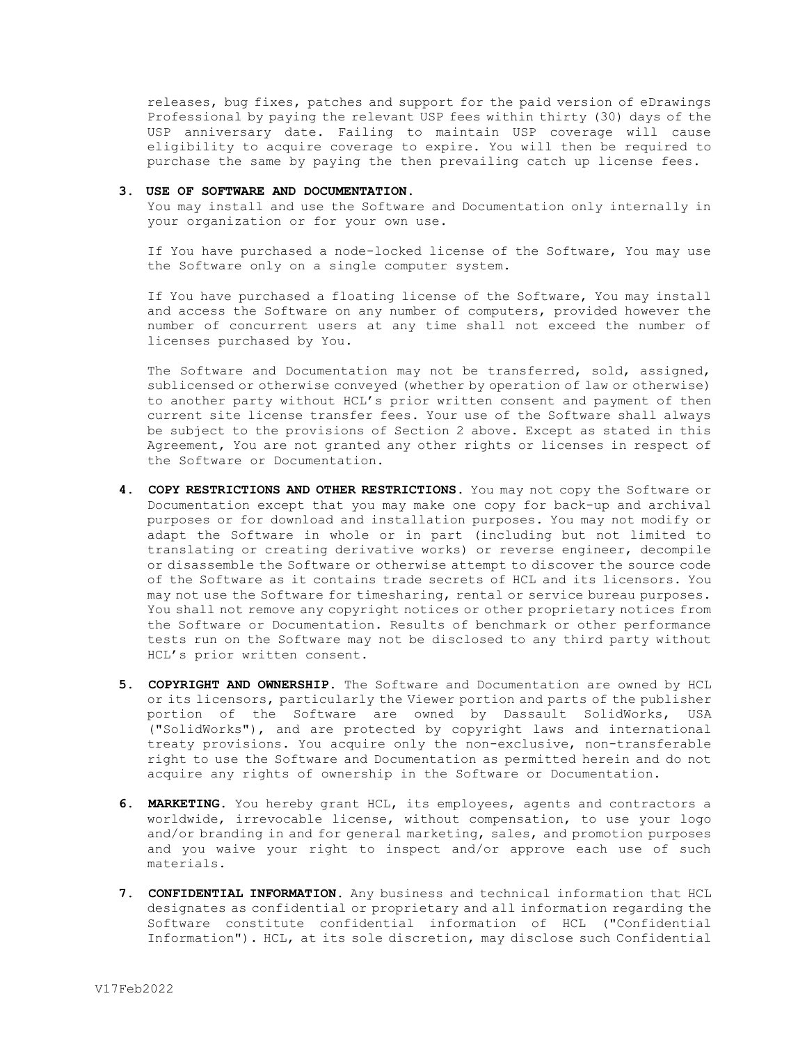releases, bug fixes, patches and support for the paid version of eDrawings Professional by paying the relevant USP fees within thirty (30) days of the USP anniversary date. Failing to maintain USP coverage will cause eligibility to acquire coverage to expire. You will then be required to purchase the same by paying the then prevailing catch up license fees.

#### **3. USE OF SOFTWARE AND DOCUMENTATION.**

You may install and use the Software and Documentation only internally in your organization or for your own use.

If You have purchased a node-locked license of the Software, You may use the Software only on a single computer system.

If You have purchased a floating license of the Software, You may install and access the Software on any number of computers, provided however the number of concurrent users at any time shall not exceed the number of licenses purchased by You.

The Software and Documentation may not be transferred, sold, assigned, sublicensed or otherwise conveyed (whether by operation of law or otherwise) to another party without HCL's prior written consent and payment of then current site license transfer fees. Your use of the Software shall always be subject to the provisions of Section 2 above. Except as stated in this Agreement, You are not granted any other rights or licenses in respect of the Software or Documentation.

- **4. COPY RESTRICTIONS AND OTHER RESTRICTIONS.** You may not copy the Software or Documentation except that you may make one copy for back-up and archival purposes or for download and installation purposes. You may not modify or adapt the Software in whole or in part (including but not limited to translating or creating derivative works) or reverse engineer, decompile or disassemble the Software or otherwise attempt to discover the source code of the Software as it contains trade secrets of HCL and its licensors. You may not use the Software for timesharing, rental or service bureau purposes. You shall not remove any copyright notices or other proprietary notices from the Software or Documentation. Results of benchmark or other performance tests run on the Software may not be disclosed to any third party without HCL's prior written consent.
- **5. COPYRIGHT AND OWNERSHIP.** The Software and Documentation are owned by HCL or its licensors, particularly the Viewer portion and parts of the publisher portion of the Software are owned by Dassault SolidWorks, USA ("SolidWorks"), and are protected by copyright laws and international treaty provisions. You acquire only the non-exclusive, non-transferable right to use the Software and Documentation as permitted herein and do not acquire any rights of ownership in the Software or Documentation.
- **6. MARKETING.** You hereby grant HCL, its employees, agents and contractors a worldwide, irrevocable license, without compensation, to use your logo and/or branding in and for general marketing, sales, and promotion purposes and you waive your right to inspect and/or approve each use of such materials.
- **7. CONFIDENTIAL INFORMATION.** Any business and technical information that HCL designates as confidential or proprietary and all information regarding the Software constitute confidential information of HCL ("Confidential Information"). HCL, at its sole discretion, may disclose such Confidential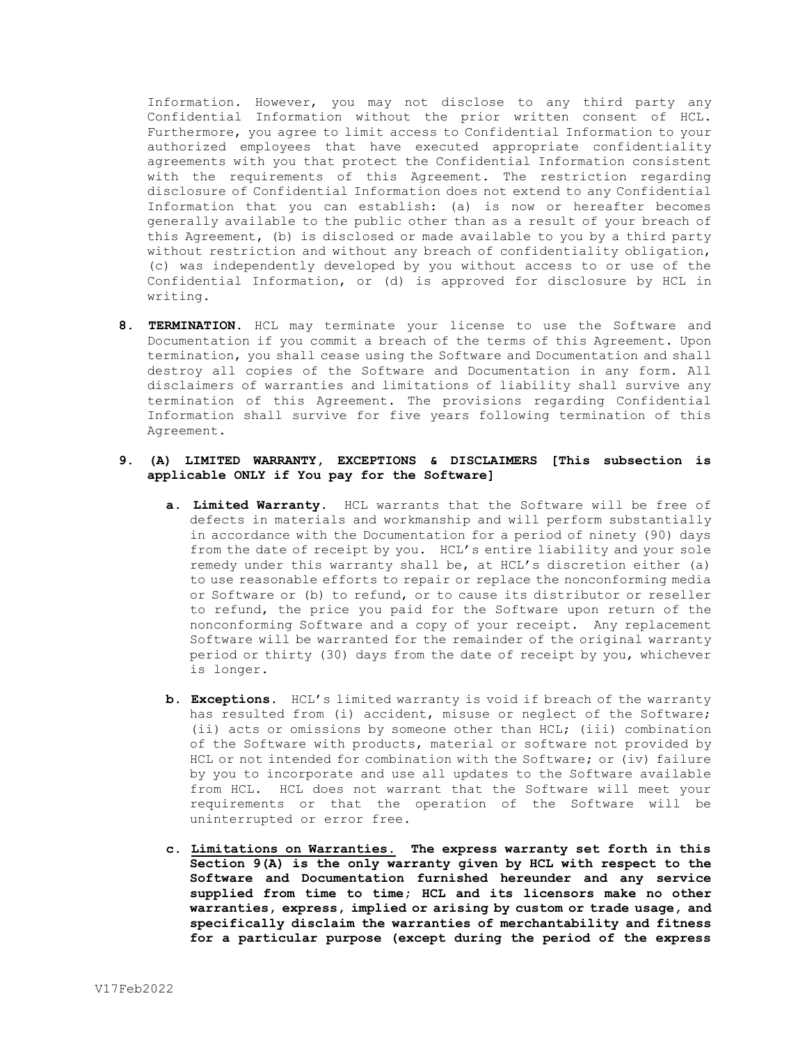Information. However, you may not disclose to any third party any Confidential Information without the prior written consent of HCL. Furthermore, you agree to limit access to Confidential Information to your authorized employees that have executed appropriate confidentiality agreements with you that protect the Confidential Information consistent with the requirements of this Agreement. The restriction regarding disclosure of Confidential Information does not extend to any Confidential Information that you can establish: (a) is now or hereafter becomes generally available to the public other than as a result of your breach of this Agreement, (b) is disclosed or made available to you by a third party without restriction and without any breach of confidentiality obligation, (c) was independently developed by you without access to or use of the Confidential Information, or (d) is approved for disclosure by HCL in writing.

**8. TERMINATION.** HCL may terminate your license to use the Software and Documentation if you commit a breach of the terms of this Agreement. Upon termination, you shall cease using the Software and Documentation and shall destroy all copies of the Software and Documentation in any form. All disclaimers of warranties and limitations of liability shall survive any termination of this Agreement. The provisions regarding Confidential Information shall survive for five years following termination of this Agreement.

# **9. (A) LIMITED WARRANTY, EXCEPTIONS & DISCLAIMERS [This subsection is applicable ONLY if You pay for the Software]**

- **a. Limited Warranty.** HCL warrants that the Software will be free of defects in materials and workmanship and will perform substantially in accordance with the Documentation for a period of ninety (90) days from the date of receipt by you. HCL's entire liability and your sole remedy under this warranty shall be, at HCL's discretion either (a) to use reasonable efforts to repair or replace the nonconforming media or Software or (b) to refund, or to cause its distributor or reseller to refund, the price you paid for the Software upon return of the nonconforming Software and a copy of your receipt. Any replacement Software will be warranted for the remainder of the original warranty period or thirty (30) days from the date of receipt by you, whichever is longer.
- **b. Exceptions.** HCL's limited warranty is void if breach of the warranty has resulted from (i) accident, misuse or neglect of the Software; (ii) acts or omissions by someone other than HCL; (iii) combination of the Software with products, material or software not provided by HCL or not intended for combination with the Software; or (iv) failure by you to incorporate and use all updates to the Software available from HCL. HCL does not warrant that the Software will meet your requirements or that the operation of the Software will be uninterrupted or error free.
- **c. Limitations on Warranties. The express warranty set forth in this Section 9(A) is the only warranty given by HCL with respect to the Software and Documentation furnished hereunder and any service supplied from time to time; HCL and its licensors make no other warranties, express, implied or arising by custom or trade usage, and specifically disclaim the warranties of merchantability and fitness for a particular purpose (except during the period of the express**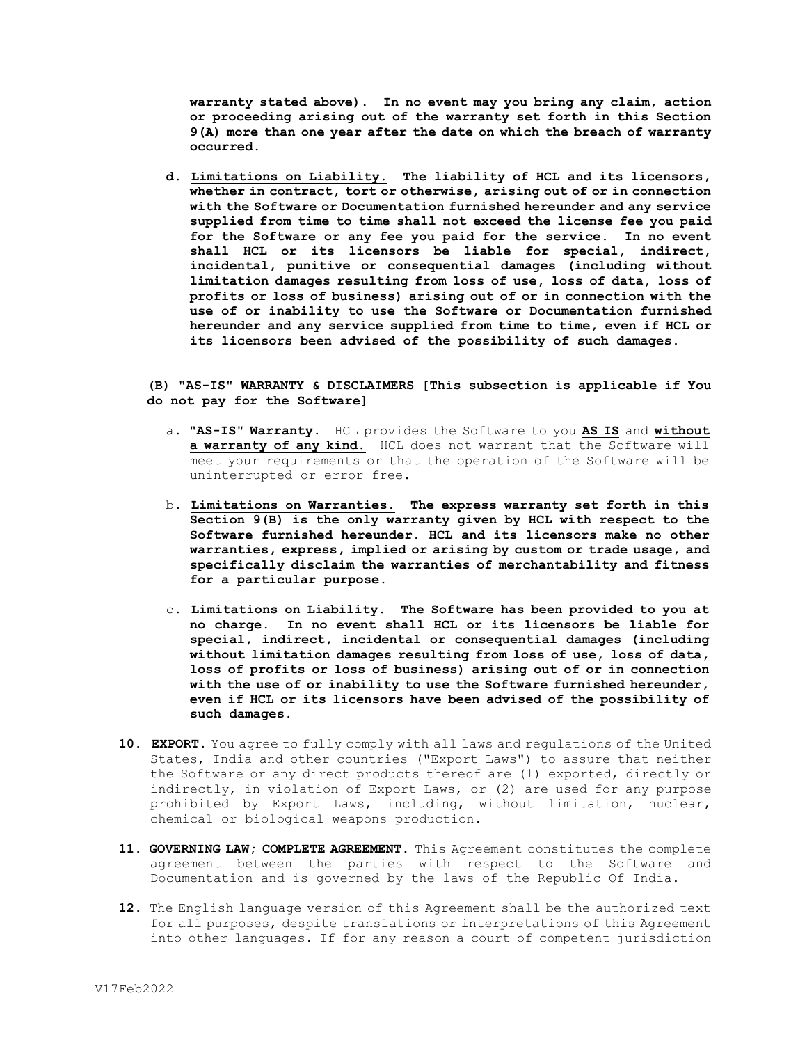**warranty stated above). In no event may you bring any claim, action or proceeding arising out of the warranty set forth in this Section 9(A) more than one year after the date on which the breach of warranty occurred.**

**d. Limitations on Liability. The liability of HCL and its licensors, whether in contract, tort or otherwise, arising out of or in connection with the Software or Documentation furnished hereunder and any service supplied from time to time shall not exceed the license fee you paid for the Software or any fee you paid for the service. In no event shall HCL or its licensors be liable for special, indirect, incidental, punitive or consequential damages (including without limitation damages resulting from loss of use, loss of data, loss of profits or loss of business) arising out of or in connection with the use of or inability to use the Software or Documentation furnished hereunder and any service supplied from time to time, even if HCL or its licensors been advised of the possibility of such damages.**

# **(B) "AS-IS" WARRANTY & DISCLAIMERS [This subsection is applicable if You do not pay for the Software]**

- a. **"AS-IS" Warranty.** HCL provides the Software to you **AS IS** and **without**  a warranty of any kind. HCL does not warrant that the Software will meet your requirements or that the operation of the Software will be uninterrupted or error free**.**
- b. **Limitations on Warranties. The express warranty set forth in this Section 9(B) is the only warranty given by HCL with respect to the Software furnished hereunder. HCL and its licensors make no other warranties, express, implied or arising by custom or trade usage, and specifically disclaim the warranties of merchantability and fitness for a particular purpose.**
- c. **Limitations on Liability. The Software has been provided to you at no charge. In no event shall HCL or its licensors be liable for special, indirect, incidental or consequential damages (including without limitation damages resulting from loss of use, loss of data, loss of profits or loss of business) arising out of or in connection with the use of or inability to use the Software furnished hereunder, even if HCL or its licensors have been advised of the possibility of such damages.**
- **10. EXPORT.** You agree to fully comply with all laws and regulations of the United States, India and other countries ("Export Laws") to assure that neither the Software or any direct products thereof are (1) exported, directly or indirectly, in violation of Export Laws, or (2) are used for any purpose prohibited by Export Laws, including, without limitation, nuclear, chemical or biological weapons production.
- **11. GOVERNING LAW; COMPLETE AGREEMENT.** This Agreement constitutes the complete agreement between the parties with respect to the Software and Documentation and is governed by the laws of the Republic Of India.
- **12.** The English language version of this Agreement shall be the authorized text for all purposes, despite translations or interpretations of this Agreement into other languages. If for any reason a court of competent jurisdiction